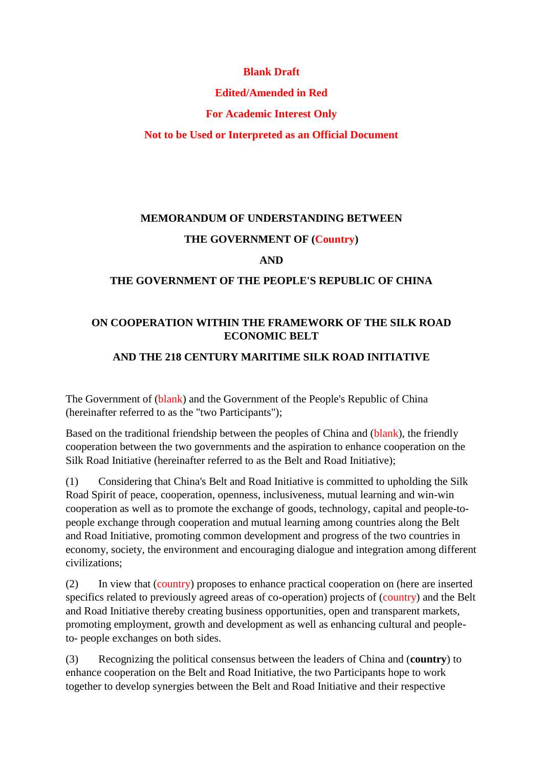#### **Blank Draft**

### **Edited/Amended in Red**

### **For Academic Interest Only**

**Not to be Used or Interpreted as an Official Document**

# **MEMORANDUM OF UNDERSTANDING BETWEEN**

# **THE GOVERNMENT OF (Country)**

#### **AND**

#### **THE GOVERNMENT OF THE PEOPLE'S REPUBLIC OF CHINA**

### **ON COOPERATION WITHIN THE FRAMEWORK OF THE SILK ROAD ECONOMIC BELT**

#### **AND THE 218 CENTURY MARITIME SILK ROAD INITIATIVE**

The Government of (blank) and the Government of the People's Republic of China (hereinafter referred to as the "two Participants");

Based on the traditional friendship between the peoples of China and (blank), the friendly cooperation between the two governments and the aspiration to enhance cooperation on the Silk Road Initiative (hereinafter referred to as the Belt and Road Initiative);

(1) Considering that China's Belt and Road Initiative is committed to upholding the Silk Road Spirit of peace, cooperation, openness, inclusiveness, mutual learning and win-win cooperation as well as to promote the exchange of goods, technology, capital and people-topeople exchange through cooperation and mutual learning among countries along the Belt and Road Initiative, promoting common development and progress of the two countries in economy, society, the environment and encouraging dialogue and integration among different civilizations;

(2) In view that (country) proposes to enhance practical cooperation on (here are inserted specifics related to previously agreed areas of co-operation) projects of (country) and the Belt and Road Initiative thereby creating business opportunities, open and transparent markets, promoting employment, growth and development as well as enhancing cultural and peopleto- people exchanges on both sides.

(3) Recognizing the political consensus between the leaders of China and (**country**) to enhance cooperation on the Belt and Road Initiative, the two Participants hope to work together to develop synergies between the Belt and Road Initiative and their respective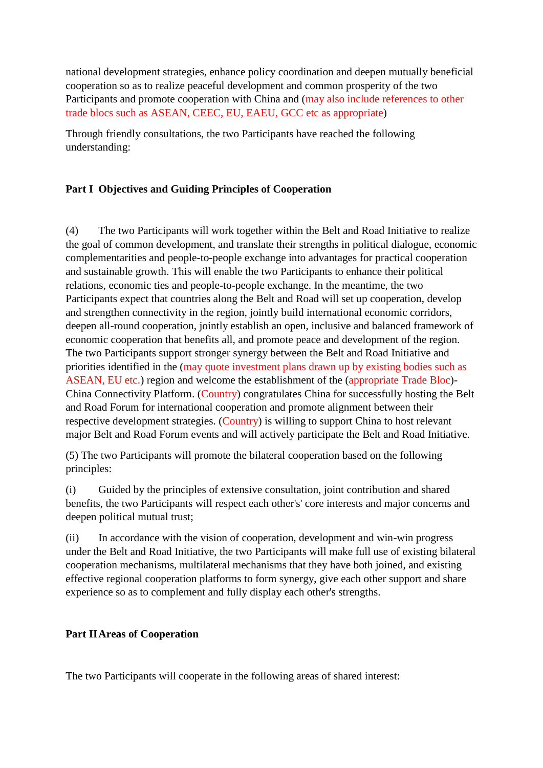national development strategies, enhance policy coordination and deepen mutually beneficial cooperation so as to realize peaceful development and common prosperity of the two Participants and promote cooperation with China and (may also include references to other trade blocs such as ASEAN, CEEC, EU, EAEU, GCC etc as appropriate)

Through friendly consultations, the two Participants have reached the following understanding:

#### **Part I Objectives and Guiding Principles of Cooperation**

(4) The two Participants will work together within the Belt and Road Initiative to realize the goal of common development, and translate their strengths in political dialogue, economic complementarities and people-to-people exchange into advantages for practical cooperation and sustainable growth. This will enable the two Participants to enhance their political relations, economic ties and people-to-people exchange. In the meantime, the two Participants expect that countries along the Belt and Road will set up cooperation, develop and strengthen connectivity in the region, jointly build international economic corridors, deepen all-round cooperation, jointly establish an open, inclusive and balanced framework of economic cooperation that benefits all, and promote peace and development of the region. The two Participants support stronger synergy between the Belt and Road Initiative and priorities identified in the (may quote investment plans drawn up by existing bodies such as ASEAN, EU etc.) region and welcome the establishment of the (appropriate Trade Bloc)- China Connectivity Platform. (Country) congratulates China for successfully hosting the Belt and Road Forum for international cooperation and promote alignment between their respective development strategies. (Country) is willing to support China to host relevant major Belt and Road Forum events and will actively participate the Belt and Road Initiative.

(5) The two Participants will promote the bilateral cooperation based on the following principles:

(i) Guided by the principles of extensive consultation, joint contribution and shared benefits, the two Participants will respect each other's' core interests and major concerns and deepen political mutual trust;

(ii) In accordance with the vision of cooperation, development and win-win progress under the Belt and Road Initiative, the two Participants will make full use of existing bilateral cooperation mechanisms, multilateral mechanisms that they have both joined, and existing effective regional cooperation platforms to form synergy, give each other support and share experience so as to complement and fully display each other's strengths.

#### **Part IIAreas of Cooperation**

The two Participants will cooperate in the following areas of shared interest: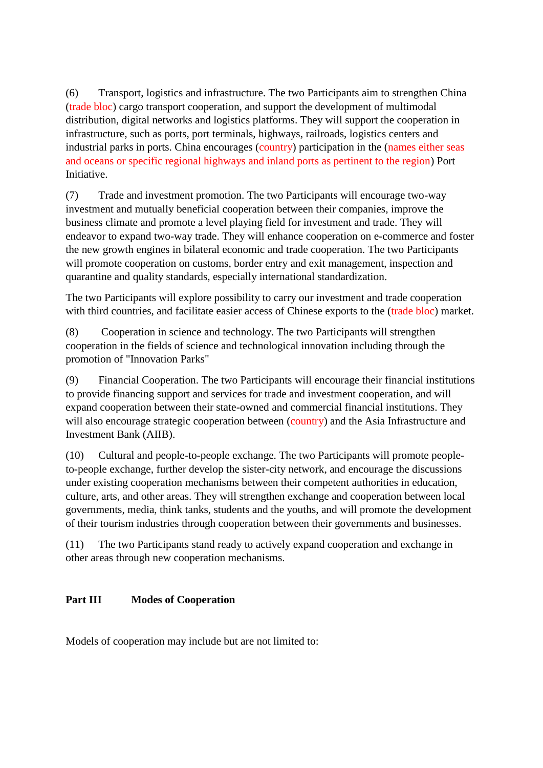(6) Transport, logistics and infrastructure. The two Participants aim to strengthen China (trade bloc) cargo transport cooperation, and support the development of multimodal distribution, digital networks and logistics platforms. They will support the cooperation in infrastructure, such as ports, port terminals, highways, railroads, logistics centers and industrial parks in ports. China encourages (country) participation in the (names either seas and oceans or specific regional highways and inland ports as pertinent to the region) Port Initiative.

(7) Trade and investment promotion. The two Participants will encourage two-way investment and mutually beneficial cooperation between their companies, improve the business climate and promote a level playing field for investment and trade. They will endeavor to expand two-way trade. They will enhance cooperation on e-commerce and foster the new growth engines in bilateral economic and trade cooperation. The two Participants will promote cooperation on customs, border entry and exit management, inspection and quarantine and quality standards, especially international standardization.

The two Participants will explore possibility to carry our investment and trade cooperation with third countries, and facilitate easier access of Chinese exports to the (trade bloc) market.

(8) Cooperation in science and technology. The two Participants will strengthen cooperation in the fields of science and technological innovation including through the promotion of "Innovation Parks"

(9) Financial Cooperation. The two Participants will encourage their financial institutions to provide financing support and services for trade and investment cooperation, and will expand cooperation between their state-owned and commercial financial institutions. They will also encourage strategic cooperation between (country) and the Asia Infrastructure and Investment Bank (AIIB).

(10) Cultural and people-to-people exchange. The two Participants will promote peopleto-people exchange, further develop the sister-city network, and encourage the discussions under existing cooperation mechanisms between their competent authorities in education, culture, arts, and other areas. They will strengthen exchange and cooperation between local governments, media, think tanks, students and the youths, and will promote the development of their tourism industries through cooperation between their governments and businesses.

(11) The two Participants stand ready to actively expand cooperation and exchange in other areas through new cooperation mechanisms.

# **Part III Modes of Cooperation**

Models of cooperation may include but are not limited to: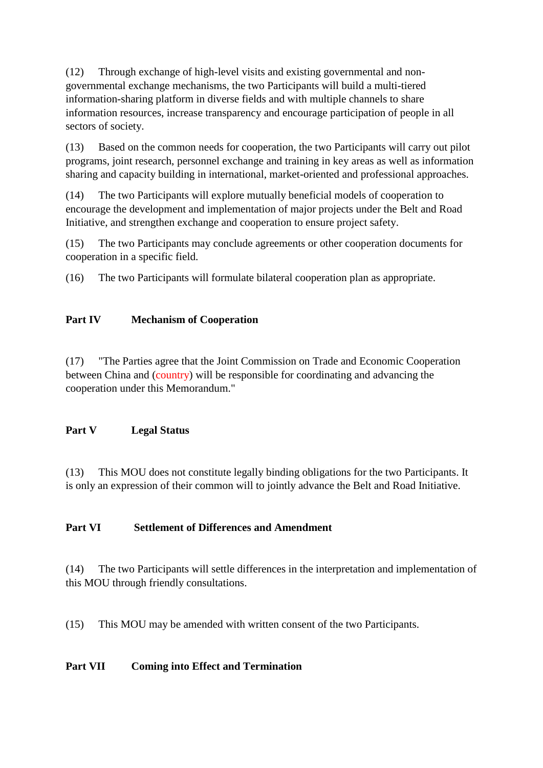(12) Through exchange of high-level visits and existing governmental and nongovernmental exchange mechanisms, the two Participants will build a multi-tiered information-sharing platform in diverse fields and with multiple channels to share information resources, increase transparency and encourage participation of people in all sectors of society.

(13) Based on the common needs for cooperation, the two Participants will carry out pilot programs, joint research, personnel exchange and training in key areas as well as information sharing and capacity building in international, market-oriented and professional approaches.

(14) The two Participants will explore mutually beneficial models of cooperation to encourage the development and implementation of major projects under the Belt and Road Initiative, and strengthen exchange and cooperation to ensure project safety.

(15) The two Participants may conclude agreements or other cooperation documents for cooperation in a specific field.

(16) The two Participants will formulate bilateral cooperation plan as appropriate.

#### **Part IV Mechanism of Cooperation**

(17) "The Parties agree that the Joint Commission on Trade and Economic Cooperation between China and (country) will be responsible for coordinating and advancing the cooperation under this Memorandum."

#### **Part V Legal Status**

(13) This MOU does not constitute legally binding obligations for the two Participants. It is only an expression of their common will to jointly advance the Belt and Road Initiative.

#### **Part VI Settlement of Differences and Amendment**

(14) The two Participants will settle differences in the interpretation and implementation of this MOU through friendly consultations.

(15) This MOU may be amended with written consent of the two Participants.

# **Part VII Coming into Effect and Termination**